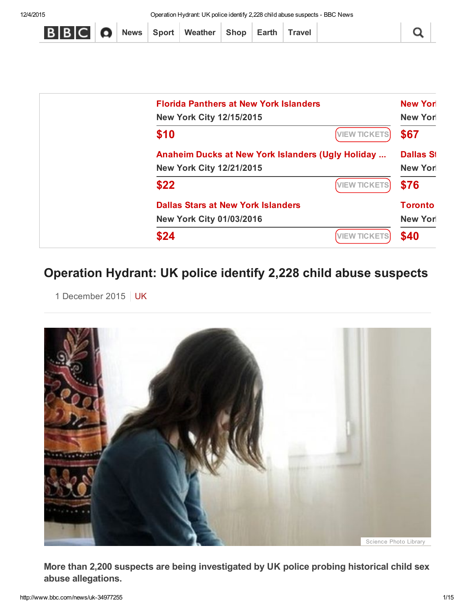| <b>BBCO</b> News Sport Weather Shop Earth Travel |  |  |  |  |  |  |  |  |  |
|--------------------------------------------------|--|--|--|--|--|--|--|--|--|
|--------------------------------------------------|--|--|--|--|--|--|--|--|--|

| <b>Florida Panthers at New York Islanders</b><br><b>New York City 12/15/2015</b> |                                                                       |                        |  |  |
|----------------------------------------------------------------------------------|-----------------------------------------------------------------------|------------------------|--|--|
| \$10                                                                             | <b>VIEW TICKETS</b>                                                   | <b>New Yor</b><br>\$67 |  |  |
|                                                                                  | <b>Dallas St</b><br>Anaheim Ducks at New York Islanders (Ugly Holiday |                        |  |  |
| <b>New York City 12/21/2015</b>                                                  | <b>New Yor</b>                                                        |                        |  |  |
| \$22                                                                             | <b>VIEW TICKETS</b>                                                   | \$76                   |  |  |
| <b>Dallas Stars at New York Islanders</b>                                        |                                                                       | <b>Toronto</b>         |  |  |
| <b>New York City 01/03/2016</b>                                                  |                                                                       | <b>New Yor</b>         |  |  |
| \$24                                                                             | <b>VIEW TICKETS</b>                                                   | \$40                   |  |  |

### Operation Hydrant: UK police identify 2,228 child abuse suspects

1 December 2015 | [UK](http://www.bbc.com/news/uk)



More than 2,200 suspects are being investigated by UK police probing historical child sex abuse allegations.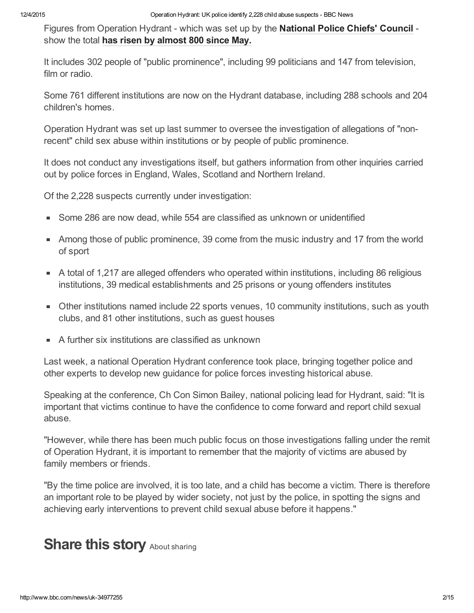Figures from Operation Hydrant - which was set up by the [National](http://www.npcc.police.uk/Home.aspx) Police Chiefs' Council show the total has risen by [almost](http://www.bbc.co.uk/news/uk-32812449) 800 since May.

It includes 302 people of "public prominence", including 99 politicians and 147 from television, film or radio.

Some 761 different institutions are now on the Hydrant database, including 288 schools and 204 children's homes.

Operation Hydrant was set up last summer to oversee the investigation of allegations of "nonrecent" child sex abuse within institutions or by people of public prominence.

It does not conduct any investigations itself, but gathers information from other inquiries carried out by police forces in England, Wales, Scotland and Northern Ireland.

Of the 2,228 suspects currently under investigation:

- Some 286 are now dead, while 554 are classified as unknown or unidentified
- **Among those of public prominence, 39 come from the music industry and 17 from the world** of sport
- A total of 1,217 are alleged offenders who operated within institutions, including 86 religious institutions, 39 medical establishments and 25 prisons or young offenders institutes
- **Diamage 1** Other institutions named include 22 sports venues, 10 community institutions, such as youth clubs, and 81 other institutions, such as guest houses
- A further six institutions are classified as unknown

Last week, a national Operation Hydrant conference took place, bringing together police and other experts to develop new guidance for police forces investing historical abuse.

Speaking at the conference, Ch Con Simon Bailey, national policing lead for Hydrant, said: "It is important that victims continue to have the confidence to come forward and report child sexual abuse.

"However, while there has been much public focus on those investigations falling under the remit of Operation Hydrant, it is important to remember that the majority of victims are abused by family members or friends.

"By the time police are involved, it is too late, and a child has become a victim. There is therefore an important role to be played by wider society, not just by the police, in spotting the signs and achieving early interventions to prevent child sexual abuse before it happens."

# Share this story About [sharing](http://www.bbc.co.uk/help/web/sharing.shtml)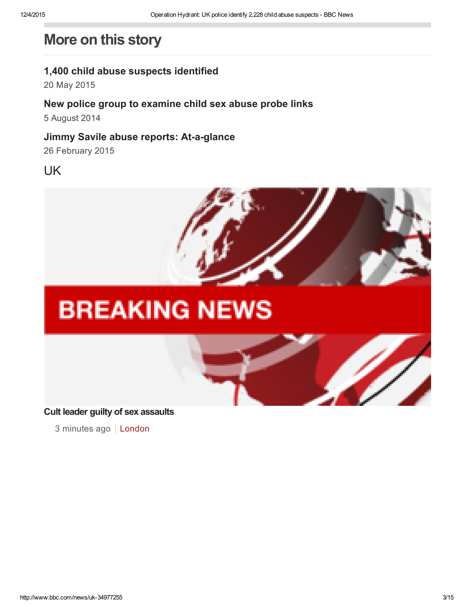# More on this story

#### 1,400 child abuse suspects [identified](http://www.bbc.com/news/uk-32812449)

20 May 2015

#### New police group to [examine](http://www.bbc.com/news/uk-28658067) child sex abuse probe links

5 August 2014

#### Jimmy Savile abuse reports: At-a-glance

26 February 2015

#### [UK](http://www.bbc.com/news/uk)



# **BREAKING NEWS**

Cult leader guilty of sex [assaults](http://www.bbc.com/news/uk-england-london-35007848)

3 minutes ago | [London](http://www.bbc.com/news/england/london)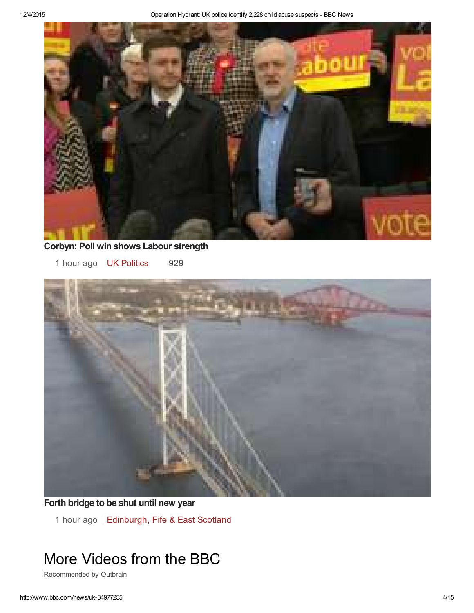12/4/2015 Operation Hydrant: UK police identify 2,228 child abuse suspects BBC News



### Corbyn: Poll win shows Labour [strength](http://www.bbc.com/news/uk-politics-35003152)

1 hour ago | UK [Politics](http://www.bbc.com/news/politics) 929



#### Forth [bridge](http://www.bbc.com/news/uk-scotland-35001277) to be shut until new year

1 hour ago | [Edinburgh,](http://www.bbc.com/news/scotland/edinburgh_east_and_fife) Fife & East Scotland

# More Videos from the BBC

Recommended by Outbrain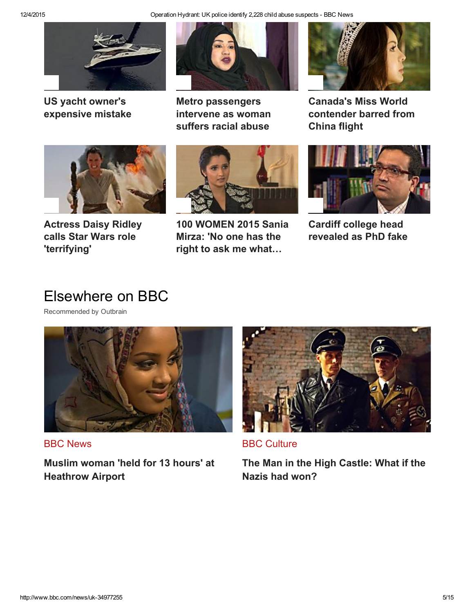12/4/2015 Operation Hydrant: UK police identify 2,228 child abuse suspects BBC News



US yacht owner's expensive mistake



Actress Daisy Ridley calls Star Wars role 'terrifying'



Metro passengers intervene as woman suffers racial abuse



100 WOMEN 2015 Sania Mirza: 'No one has the right to ask me what…



Canada's Miss World contender barred from China flight



Cardiff college head revealed as PhD fake

# Elsewhere on BBC

Recommended by Outbrain



BBC News

Muslim woman 'held for 13 hours' at Heathrow Airport



BBC Culture

The Man in the High Castle: What if the Nazis had won?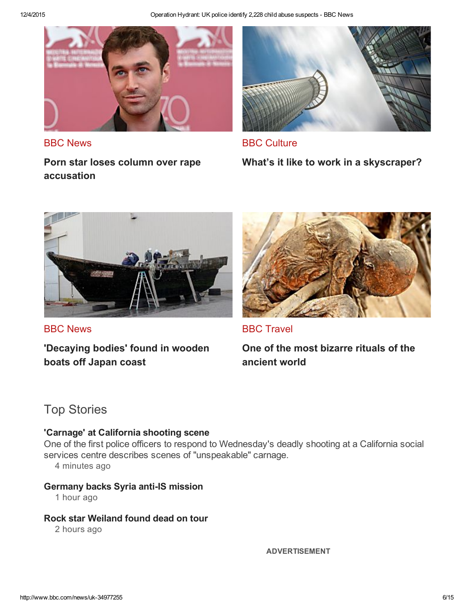12/4/2015 Operation Hydrant: UK police identify 2,228 child abuse suspects BBC News



BBC News

Porn star loses column over rape accusation



BBC Culture

What's it like to work in a skyscraper?



BBC News

'Decaying bodies' found in wooden boats off Japan coast



BBC Travel

One of the most bizarre rituals of the ancient world

### Top Stories

#### 'Carnage' at California shooting scene

One of the first police officers to respond to Wednesday's deadly shooting at a California social services centre describes scenes of ["unspeakable"](http://www.bbc.com/news/world-us-canada-35002741) carnage.

4 minutes ago

#### [Germany](http://www.bbc.com/news/world-europe-35002733) backs Syria anti-IS mission

1 hour ago

#### Rock star [Weiland](http://www.bbc.com/news/entertainment-arts-35003719) found dead on tour

2 hours ago

ADVERTISEMENT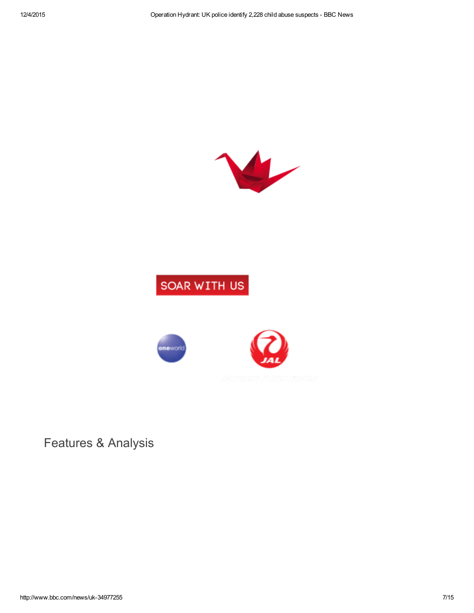

# SOAR WITH US



Features & Analysis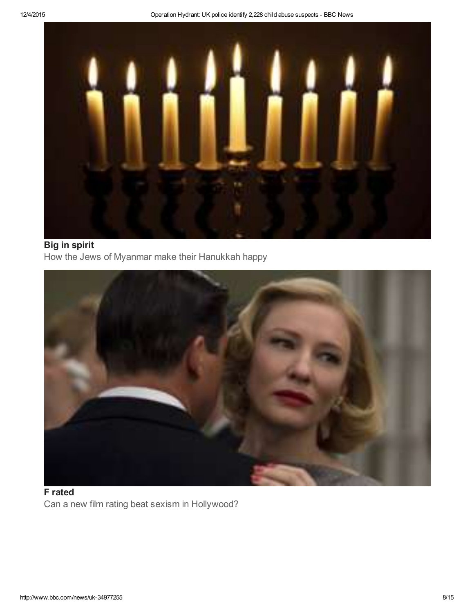

#### Big in spirit How the Jews of Myanmar make their [Hanukkah](http://www.bbc.com/news/magazine-34966494) happy



#### F rated Can a new film rating beat sexism in [Hollywood?](http://www.bbc.com/news/entertainment-arts-34982615)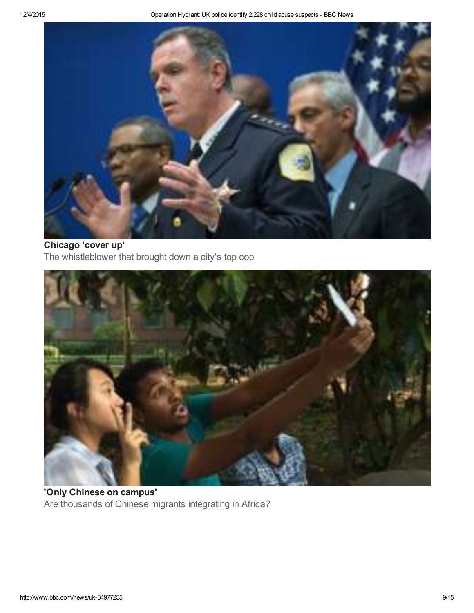

#### Chicago 'cover up' The [whistleblower](http://www.bbc.com/news/magazine-34977807) that brought down a city's top cop



'Only Chinese on campus' Are [thousands](http://www.bbc.com/news/world-africa-35001032) of Chinese migrants integrating in Africa?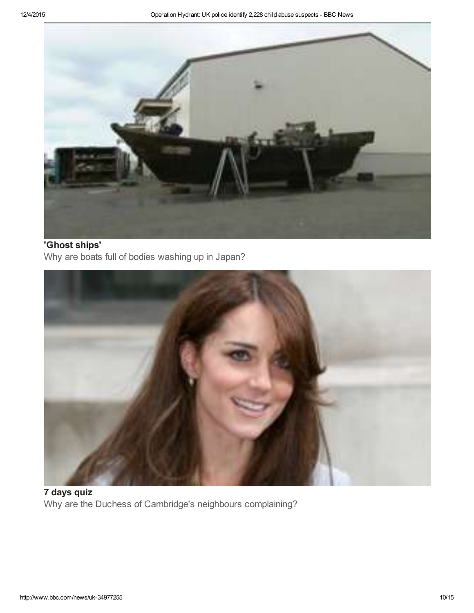

#### 'Ghost ships' Why are boats full of bodies [washing](http://www.bbc.com/news/world-asia-34981195) up in Japan?



7 days quiz Why are the Duchess of Cambridge's neighbours [complaining?](http://www.bbc.com/news/magazine-34996025)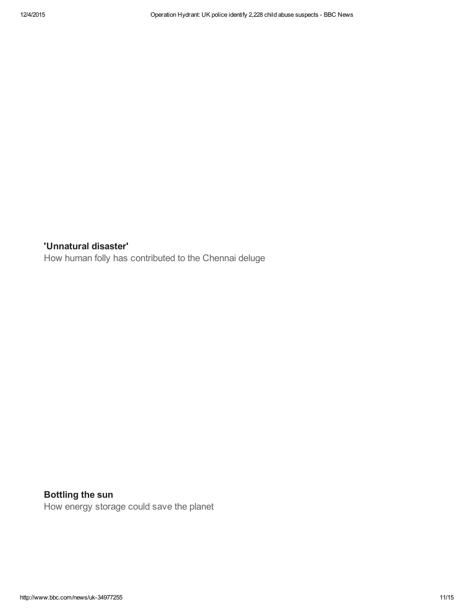['Unnatural](http://www.bbc.com/news/world-asia-india-34992004) disaster'

How human folly has contributed to the Chennai deluge

#### [Bottling](http://www.bbc.com/news/business-34974644) the sun

How energy storage could save the planet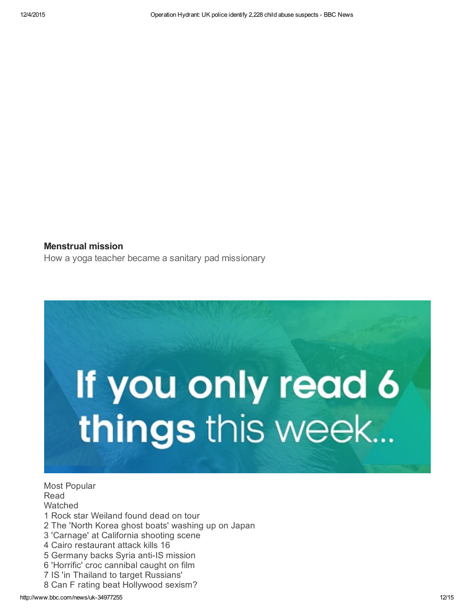Menstrual mission How a yoga teacher became a sanitary pad [missionary](http://www.bbc.com/news/magazine-34925238)



Most Popular Read Watched Rock star [Weiland](http://www.bbc.com/news/entertainment-arts-35003719) found dead on tour The 'North Korea ghost boats' [washing](http://www.bbc.com/news/world-asia-34981195) up on Japan 'Carnage' at [California](http://www.bbc.com/news/world-us-canada-35002741) shooting scene Cairo [restaurant](http://www.bbc.com/news/world-middle-east-35003967) attack kills 16 [Germany](http://www.bbc.com/news/world-europe-35002733) backs Syria anti-IS mission 'Horrific' croc [cannibal](http://www.bbc.com/news/world-australia-34991815) caught on film IS 'in Thailand to target [Russians'](http://www.bbc.com/news/35003912) Can F rating beat [Hollywood](http://www.bbc.com/news/entertainment-arts-34982615) sexism?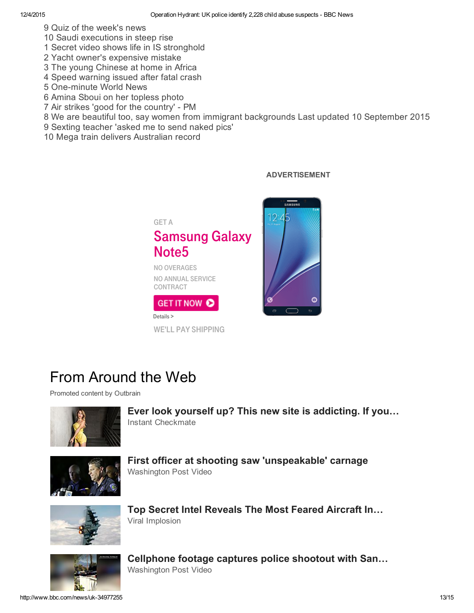- 9 Quiz of the [week's](http://www.bbc.com/news/magazine-34996025) news
- 10 Saudi [executions](http://www.bbc.com/news/world-middle-east-34982154) in steep rise
- 1 Secret video shows life in IS [stronghold](http://www.bbc.com/news/world-middle-east-35002291)
- 2 Yacht owner's [expensive](http://www.bbc.com/news/world-us-canada-34971749) mistake
- 3 The young [Chinese](http://www.bbc.com/news/world-africa-35001985) at home in Africa
- 4 Speed [warning](http://www.bbc.com/news/uk-england-merseyside-34986092) issued after fatal crash
- 5 One-minute World News
- 6 Amina Sboui on her [topless](http://www.bbc.com/news/magazine-34942881) photo
- 7 Air strikes 'good for the [country'](http://www.bbc.com/news/uk-politics-34992856) PM
- 8 We are beautiful too, say women from immigrant [backgrounds](http://www.bbc.com/news/magazine-34201583) Last updated 10 September 2015
- 9 Sexting [teacher](http://www.bbc.com/news/uk-34947080) 'asked me to send naked pics'
- 10 Mega train delivers [Australian](http://www.bbc.com/news/world-australia-34971953) record

#### ADVERTISEMENT

GET A

# Samsung Galaxy Note5

NO OVERAGES NO ANNUAL SERVICE CONTRACT

#### **GET IT NOW O**

Details >

WE'LL PAY SHIPPING



# From Around the Web

Promoted content by Outbrain



Ever look yourself up? This new site is addicting. If you… Instant Checkmate



First officer at shooting saw 'unspeakable' carnage Washington Post Video



Top Secret Intel Reveals The Most Feared Aircraft In… Viral Implosion



Cellphone footage captures police shootout with San… Washington Post Video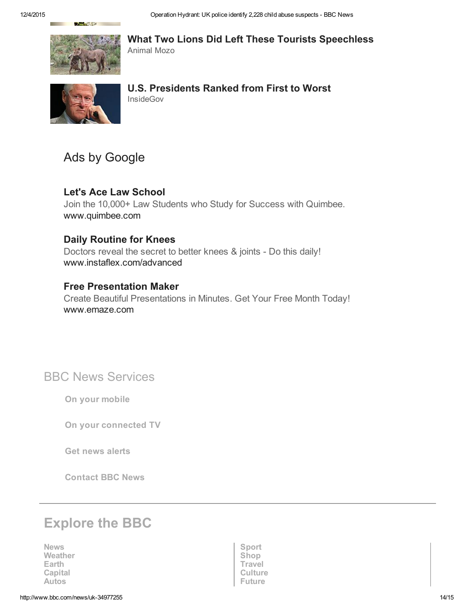

 $\mathbb{Z}$ 

#### What Two Lions Did Left These Tourists Speechless

Animal Mozo

U.S. Presidents Ranked from First to Worst InsideGov

### Ads by [Google](http://www.bbc.co.uk/bbc.com/faq/ads_by_google.shtml)

#### Let's Ace Law [School](http://www.googleadservices.com/pagead/aclk?sa=L&ai=CVSS-4YxhVpvgNI2mhATgwLuIDJrDrowIgu7QwM0CrgIQASDnhfQSKANgycapi8Ck2A-gAZaV1toDyAEBqAMBqgR3T9D9GosapKkkh1DDxXP4XQbSppaYOAyzcN3mi-izj3pu2P0D3F8witlXLSgER3l-JGUJT85j5ti-gqUDPa0q1CmOfQpqV9xQxN_1KaGs0tqy26OhWoWdV6TQj_NJrjaixdfiud5r1A2cIHSaOcbcpCGMojPa8zqIBgGAB9LqqSWoB6a-G9gHAQ&num=1&cid=5GjLgCcrV2b_joUnvO1XtsoK&sig=AOD64_1ph6Wpf2gfdwMjDCHdN2N646b9bw&client=ca-bbccom&adurl=https://www.quimbee.com/select-plan%3Futm_source%3Dadwords%26utm_medium%3Dcpc%26utm_term%3Dkeyword%26utm_campaign%3Dcampaign%2520name)

Join the 10,000+ Law Students who Study for Success with Quimbee. [www.quimbee.com](http://www.googleadservices.com/pagead/aclk?sa=L&ai=CVSS-4YxhVpvgNI2mhATgwLuIDJrDrowIgu7QwM0CrgIQASDnhfQSKANgycapi8Ck2A-gAZaV1toDyAEBqAMBqgR3T9D9GosapKkkh1DDxXP4XQbSppaYOAyzcN3mi-izj3pu2P0D3F8witlXLSgER3l-JGUJT85j5ti-gqUDPa0q1CmOfQpqV9xQxN_1KaGs0tqy26OhWoWdV6TQj_NJrjaixdfiud5r1A2cIHSaOcbcpCGMojPa8zqIBgGAB9LqqSWoB6a-G9gHAQ&num=1&cid=5GjLgCcrV2b_joUnvO1XtsoK&sig=AOD64_1ph6Wpf2gfdwMjDCHdN2N646b9bw&client=ca-bbccom&adurl=https://www.quimbee.com/select-plan%3Futm_source%3Dadwords%26utm_medium%3Dcpc%26utm_term%3Dkeyword%26utm_campaign%3Dcampaign%2520name)

#### Daily [Routine](http://www.googleadservices.com/pagead/aclk?sa=L&ai=CosL-4YxhVpvgNI2mhATgwLuIDNuL6_gHq-Xiy60C_JKlk2MQAiDnhfQSKANgycapi8Ck2A-gAY2N-ccDyAEBqAMBqgR6T9DtF70ap6kkh1DDxXP4XQbSppaYOAyzcN3mi-izj3pu2P0D3F8witlXLSgER3l-JGUJT85j5ti-gqUDPdUp1GmOeQJqnIC2GcNP6k1HRh5fMGAMsW428E0mKPK8rXJXxqMTOu-aVwwpK3wvMs4poSFsoonpVLRw-sKIBgGAB9vyhjioB6a-G9gHAdgTCA&num=2&cid=5GjLgCcrV2b_joUnvO1XtsoK&sig=AOD64_2I5HGIIMz9r5vFaPeNpY9CAtMA8w&client=ca-bbccom&adurl=http://www.instaflex.com/report/advanced/articles.php%3Futm_source%3DDisplay%26utm_medium%3Dcpc%26utm_term%3D%257Bkeyword%257D%26utm_content%3DBranded%2520Search%26utm_campaign%3DAdWords) for Knees

Doctors reveal the secret to better knees & joints - Do this daily! [www.instaflex.com/advanced](http://www.googleadservices.com/pagead/aclk?sa=L&ai=CosL-4YxhVpvgNI2mhATgwLuIDNuL6_gHq-Xiy60C_JKlk2MQAiDnhfQSKANgycapi8Ck2A-gAY2N-ccDyAEBqAMBqgR6T9DtF70ap6kkh1DDxXP4XQbSppaYOAyzcN3mi-izj3pu2P0D3F8witlXLSgER3l-JGUJT85j5ti-gqUDPdUp1GmOeQJqnIC2GcNP6k1HRh5fMGAMsW428E0mKPK8rXJXxqMTOu-aVwwpK3wvMs4poSFsoonpVLRw-sKIBgGAB9vyhjioB6a-G9gHAdgTCA&num=2&cid=5GjLgCcrV2b_joUnvO1XtsoK&sig=AOD64_2I5HGIIMz9r5vFaPeNpY9CAtMA8w&client=ca-bbccom&adurl=http://www.instaflex.com/report/advanced/articles.php%3Futm_source%3DDisplay%26utm_medium%3Dcpc%26utm_term%3D%257Bkeyword%257D%26utm_content%3DBranded%2520Search%26utm_campaign%3DAdWords)

#### Free [Presentation](http://www.googleadservices.com/pagead/aclk?sa=L&ai=Ctckc4YxhVpvgNI2mhATgwLuIDLGyvq8HkdnyhpQC8bWxsKoEEAMg54X0EigDYMnGqYvApNgPoAGn6OPRA8gBAagDAaoEd0_QjVCiGqapJIdQw8Vz-F0G0qaWmDgMs3Dd5ovos496btj9A9xfMIrZVy0oBEd5fiRlCU_OY-bYvoKlAz2tKtQpjn0KamzDB6vf9SmhrNLastujoVqFnVek0I_zSa42osXX4rnea9QNnCB0mjnG3KQhjKJg4toyiAYBgAfBl5wuqAemvhvYBwHYEws&num=3&cid=5GjLgCcrV2b_joUnvO1XtsoK&sig=AOD64_3YQBuV8JmHNkqwMAskn6hqvPA5Gw&client=ca-bbccom&adurl=https://www.emaze.com/lp/lp.php%3Faffid%3Dgoogle%26subid%3Dppc%26campid%3Drmk_login_no_pres_180%26url%3Dhttps://www.emaze.com/%2540ALWQCOCZ) Maker

Create Beautiful Presentations in Minutes. Get Your Free Month Today! [www.emaze.com](http://www.googleadservices.com/pagead/aclk?sa=L&ai=Ctckc4YxhVpvgNI2mhATgwLuIDLGyvq8HkdnyhpQC8bWxsKoEEAMg54X0EigDYMnGqYvApNgPoAGn6OPRA8gBAagDAaoEd0_QjVCiGqapJIdQw8Vz-F0G0qaWmDgMs3Dd5ovos496btj9A9xfMIrZVy0oBEd5fiRlCU_OY-bYvoKlAz2tKtQpjn0KamzDB6vf9SmhrNLastujoVqFnVek0I_zSa42osXX4rnea9QNnCB0mjnG3KQhjKJg4toyiAYBgAfBl5wuqAemvhvYBwHYEws&num=3&cid=5GjLgCcrV2b_joUnvO1XtsoK&sig=AOD64_3YQBuV8JmHNkqwMAskn6hqvPA5Gw&client=ca-bbccom&adurl=https://www.emaze.com/lp/lp.php%3Faffid%3Dgoogle%26subid%3Dppc%26campid%3Drmk_login_no_pres_180%26url%3Dhttps://www.emaze.com/%2540ALWQCOCZ)

BBC News Services

On your [mobile](http://www.bbc.co.uk/news/10628994)

On your [connected](http://www.bbc.co.uk/news/help-17655000) TV

Get news [alerts](http://www.bbc.co.uk/news/10628323)

[Contact](http://www.bbc.co.uk/news/20039682) BBC News

# Explore the BBC

[News](http://www.bbc.com/news/) and the sport of the sport of the [Sport](http://www.bbc.com/sport/) of Sport in the Sport of the Sport of the Sport of the Sport of the Sport of the Sport of the Sport of the Sport of the Sport of the Sport of the Sport of the Sport of the Sport [Weather](http://www.bbc.com/weather/) [Shop](http://shop.bbc.com/) Shop [Earth](http://www.bbc.com/earth/) **[Travel](http://www.bbc.com/travel/)** [Capital](http://www.bbc.com/capital/) [Culture](http://www.bbc.com/culture/) [Autos](http://www.bbc.com/autos/) **[Future](http://www.bbc.com/future/) III (1991)** Puture